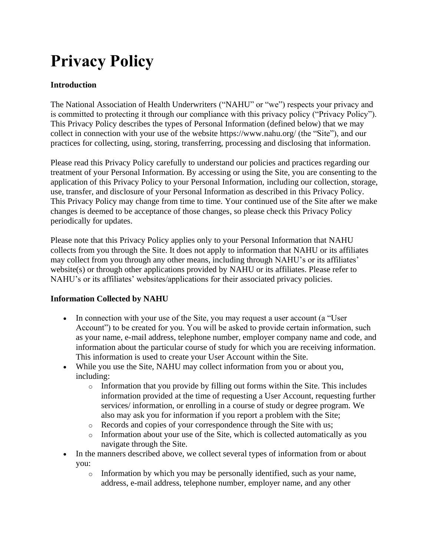# **Privacy Policy**

# **Introduction**

The National Association of Health Underwriters ("NAHU" or "we") respects your privacy and is committed to protecting it through our compliance with this privacy policy ("Privacy Policy"). This Privacy Policy describes the types of Personal Information (defined below) that we may collect in connection with your use of the website https://www.nahu.org/ (the "Site"), and our practices for collecting, using, storing, transferring, processing and disclosing that information.

Please read this Privacy Policy carefully to understand our policies and practices regarding our treatment of your Personal Information. By accessing or using the Site, you are consenting to the application of this Privacy Policy to your Personal Information, including our collection, storage, use, transfer, and disclosure of your Personal Information as described in this Privacy Policy. This Privacy Policy may change from time to time. Your continued use of the Site after we make changes is deemed to be acceptance of those changes, so please check this Privacy Policy periodically for updates.

Please note that this Privacy Policy applies only to your Personal Information that NAHU collects from you through the Site. It does not apply to information that NAHU or its affiliates may collect from you through any other means, including through NAHU's or its affiliates' website(s) or through other applications provided by NAHU or its affiliates. Please refer to NAHU's or its affiliates' websites/applications for their associated privacy policies.

# **Information Collected by NAHU**

- In connection with your use of the Site, you may request a user account (a "User" Account") to be created for you. You will be asked to provide certain information, such as your name, e-mail address, telephone number, employer company name and code, and information about the particular course of study for which you are receiving information. This information is used to create your User Account within the Site.
- While you use the Site, NAHU may collect information from you or about you, including:
	- o Information that you provide by filling out forms within the Site. This includes information provided at the time of requesting a User Account, requesting further services/ information, or enrolling in a course of study or degree program. We also may ask you for information if you report a problem with the Site;
	- o Records and copies of your correspondence through the Site with us;
	- o Information about your use of the Site, which is collected automatically as you navigate through the Site.
- In the manners described above, we collect several types of information from or about you:
	- $\circ$  Information by which you may be personally identified, such as your name, address, e-mail address, telephone number, employer name, and any other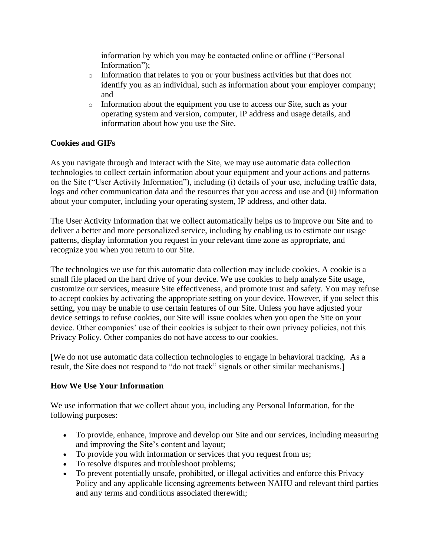information by which you may be contacted online or offline ("Personal Information");

- o Information that relates to you or your business activities but that does not identify you as an individual, such as information about your employer company; and
- o Information about the equipment you use to access our Site, such as your operating system and version, computer, IP address and usage details, and information about how you use the Site.

# **Cookies and GIFs**

As you navigate through and interact with the Site, we may use automatic data collection technologies to collect certain information about your equipment and your actions and patterns on the Site ("User Activity Information"), including (i) details of your use, including traffic data, logs and other communication data and the resources that you access and use and (ii) information about your computer, including your operating system, IP address, and other data.

The User Activity Information that we collect automatically helps us to improve our Site and to deliver a better and more personalized service, including by enabling us to estimate our usage patterns, display information you request in your relevant time zone as appropriate, and recognize you when you return to our Site.

The technologies we use for this automatic data collection may include cookies. A cookie is a small file placed on the hard drive of your device. We use cookies to help analyze Site usage, customize our services, measure Site effectiveness, and promote trust and safety. You may refuse to accept cookies by activating the appropriate setting on your device. However, if you select this setting, you may be unable to use certain features of our Site. Unless you have adjusted your device settings to refuse cookies, our Site will issue cookies when you open the Site on your device. Other companies' use of their cookies is subject to their own privacy policies, not this Privacy Policy. Other companies do not have access to our cookies.

[We do not use automatic data collection technologies to engage in behavioral tracking. As a result, the Site does not respond to "do not track" signals or other similar mechanisms.]

# **How We Use Your Information**

We use information that we collect about you, including any Personal Information, for the following purposes:

- To provide, enhance, improve and develop our Site and our services, including measuring and improving the Site's content and layout;
- To provide you with information or services that you request from us;
- To resolve disputes and troubleshoot problems;
- To prevent potentially unsafe, prohibited, or illegal activities and enforce this Privacy Policy and any applicable licensing agreements between NAHU and relevant third parties and any terms and conditions associated therewith;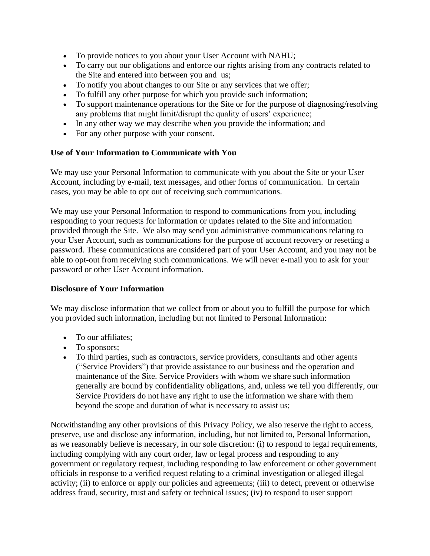- To provide notices to you about your User Account with NAHU;
- To carry out our obligations and enforce our rights arising from any contracts related to the Site and entered into between you and us;
- To notify you about changes to our Site or any services that we offer;
- To fulfill any other purpose for which you provide such information;
- To support maintenance operations for the Site or for the purpose of diagnosing/resolving any problems that might limit/disrupt the quality of users' experience;
- In any other way we may describe when you provide the information; and
- For any other purpose with your consent.

# **Use of Your Information to Communicate with You**

We may use your Personal Information to communicate with you about the Site or your User Account, including by e-mail, text messages, and other forms of communication. In certain cases, you may be able to opt out of receiving such communications.

We may use your Personal Information to respond to communications from you, including responding to your requests for information or updates related to the Site and information provided through the Site. We also may send you administrative communications relating to your User Account, such as communications for the purpose of account recovery or resetting a password. These communications are considered part of your User Account, and you may not be able to opt-out from receiving such communications. We will never e-mail you to ask for your password or other User Account information.

# **Disclosure of Your Information**

We may disclose information that we collect from or about you to fulfill the purpose for which you provided such information, including but not limited to Personal Information:

- To our affiliates:
- To sponsors;
- To third parties, such as contractors, service providers, consultants and other agents ("Service Providers") that provide assistance to our business and the operation and maintenance of the Site. Service Providers with whom we share such information generally are bound by confidentiality obligations, and, unless we tell you differently, our Service Providers do not have any right to use the information we share with them beyond the scope and duration of what is necessary to assist us;

Notwithstanding any other provisions of this Privacy Policy, we also reserve the right to access, preserve, use and disclose any information, including, but not limited to, Personal Information, as we reasonably believe is necessary, in our sole discretion: (i) to respond to legal requirements, including complying with any court order, law or legal process and responding to any government or regulatory request, including responding to law enforcement or other government officials in response to a verified request relating to a criminal investigation or alleged illegal activity; (ii) to enforce or apply our policies and agreements; (iii) to detect, prevent or otherwise address fraud, security, trust and safety or technical issues; (iv) to respond to user support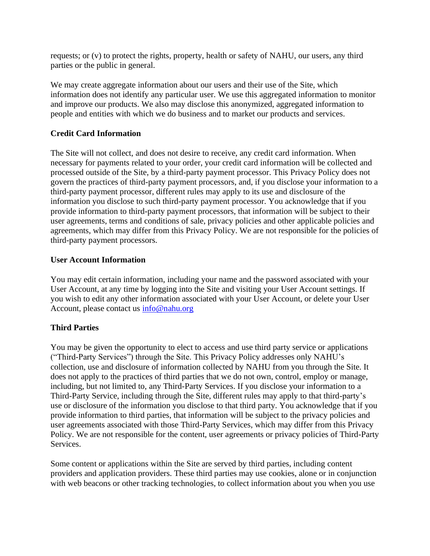requests; or (v) to protect the rights, property, health or safety of NAHU, our users, any third parties or the public in general.

We may create aggregate information about our users and their use of the Site, which information does not identify any particular user. We use this aggregated information to monitor and improve our products. We also may disclose this anonymized, aggregated information to people and entities with which we do business and to market our products and services.

# **Credit Card Information**

The Site will not collect, and does not desire to receive, any credit card information. When necessary for payments related to your order, your credit card information will be collected and processed outside of the Site, by a third-party payment processor. This Privacy Policy does not govern the practices of third-party payment processors, and, if you disclose your information to a third-party payment processor, different rules may apply to its use and disclosure of the information you disclose to such third-party payment processor. You acknowledge that if you provide information to third-party payment processors, that information will be subject to their user agreements, terms and conditions of sale, privacy policies and other applicable policies and agreements, which may differ from this Privacy Policy. We are not responsible for the policies of third-party payment processors.

#### **User Account Information**

You may edit certain information, including your name and the password associated with your User Account, at any time by logging into the Site and visiting your User Account settings. If you wish to edit any other information associated with your User Account, or delete your User Account, please contact us [info@nahu.org](mailto:info@nahu.org)

# **Third Parties**

You may be given the opportunity to elect to access and use third party service or applications ("Third-Party Services") through the Site. This Privacy Policy addresses only NAHU's collection, use and disclosure of information collected by NAHU from you through the Site. It does not apply to the practices of third parties that we do not own, control, employ or manage, including, but not limited to, any Third-Party Services. If you disclose your information to a Third-Party Service, including through the Site, different rules may apply to that third-party's use or disclosure of the information you disclose to that third party. You acknowledge that if you provide information to third parties, that information will be subject to the privacy policies and user agreements associated with those Third-Party Services, which may differ from this Privacy Policy. We are not responsible for the content, user agreements or privacy policies of Third-Party Services.

Some content or applications within the Site are served by third parties, including content providers and application providers. These third parties may use cookies, alone or in conjunction with web beacons or other tracking technologies, to collect information about you when you use